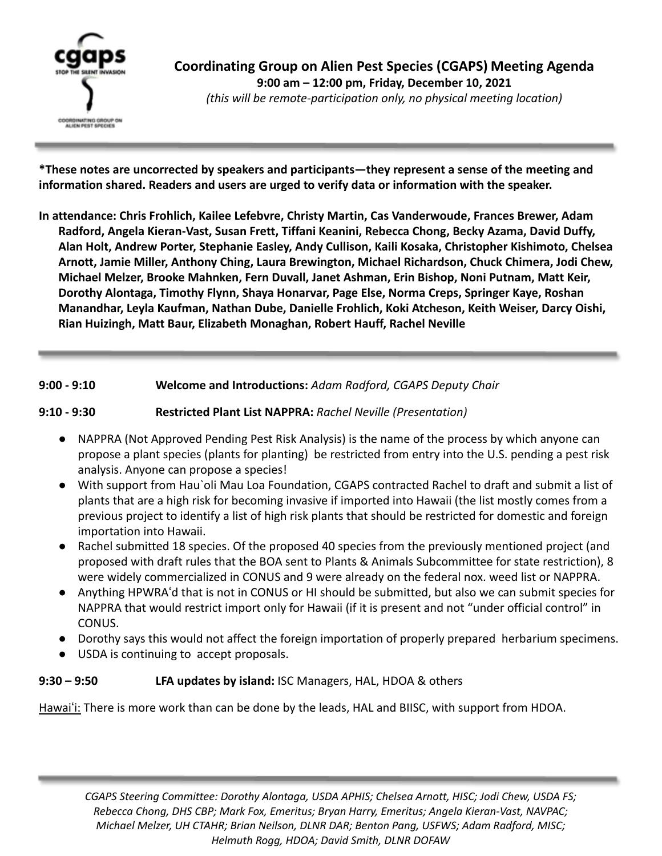

**\*These notes are uncorrected by speakers and participants—they represent a sense of the meeting and information shared. Readers and users are urged to verify data or information with the speaker.**

**In attendance: Chris Frohlich, Kailee Lefebvre, Christy Martin, Cas Vanderwoude, Frances Brewer, Adam Radford, Angela Kieran-Vast, Susan Frett, Tiffani Keanini, Rebecca Chong, Becky Azama, David Duffy, Alan Holt, Andrew Porter, Stephanie Easley, Andy Cullison, Kaili Kosaka, Christopher Kishimoto, Chelsea Arnott, Jamie Miller, Anthony Ching, Laura Brewington, Michael Richardson, Chuck Chimera, Jodi Chew, Michael Melzer, Brooke Mahnken, Fern Duvall, Janet Ashman, Erin Bishop, Noni Putnam, Matt Keir, Dorothy Alontaga, Timothy Flynn, Shaya Honarvar, Page Else, Norma Creps, Springer Kaye, Roshan Manandhar, Leyla Kaufman, Nathan Dube, Danielle Frohlich, Koki Atcheson, Keith Weiser, Darcy Oishi, Rian Huizingh, Matt Baur, Elizabeth Monaghan, Robert Hauff, Rachel Neville**

#### **9:00 - 9:10 Welcome and Introductions:** *Adam Radford, CGAPS Deputy Chair*

#### **9:10 - 9:30 Restricted Plant List NAPPRA:** *Rachel Neville (Presentation)*

- NAPPRA (Not Approved Pending Pest Risk Analysis) is the name of the process by which anyone can propose a plant species (plants for planting) be restricted from entry into the U.S. pending a pest risk analysis. Anyone can propose a species!
- With support from Hau`oli Mau Loa Foundation, CGAPS contracted Rachel to draft and submit a list of plants that are a high risk for becoming invasive if imported into Hawaii (the list mostly comes from a previous project to identify a list of high risk plants that should be restricted for domestic and foreign importation into Hawaii.
- Rachel submitted 18 species. Of the proposed 40 species from the previously mentioned project (and proposed with draft rules that the BOA sent to Plants & Animals Subcommittee for state restriction), 8 were widely commercialized in CONUS and 9 were already on the federal nox. weed list or NAPPRA.
- Anything HPWRAʻd that is not in CONUS or HI should be submitted, but also we can submit species for NAPPRA that would restrict import only for Hawaii (if it is present and not "under official control" in CONUS.
- Dorothy says this would not affect the foreign importation of properly prepared herbarium specimens.
- USDA is continuing to accept proposals.

### **9:30 – 9:50 LFA updates by island:** ISC Managers, HAL, HDOA & others

Hawaiʻi: There is more work than can be done by the leads, HAL and BIISC, with support from HDOA.

*CGAPS Steering Committee: Dorothy Alontaga, USDA APHIS; Chelsea Arnott, HISC; Jodi Chew, USDA FS; Rebecca Chong, DHS CBP; Mark Fox, Emeritus; Bryan Harry, Emeritus; Angela Kieran-Vast, NAVPAC; Michael Melzer, UH CTAHR; Brian Neilson, DLNR DAR; Benton Pang, USFWS; Adam Radford, MISC; Helmuth Rogg, HDOA; David Smith, DLNR DOFAW*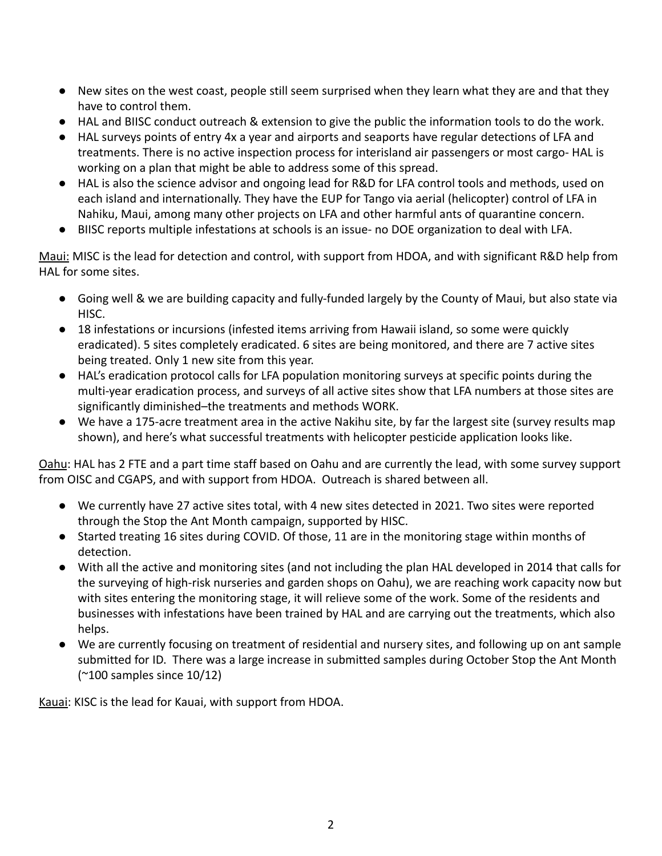- New sites on the west coast, people still seem surprised when they learn what they are and that they have to control them.
- HAL and BIISC conduct outreach & extension to give the public the information tools to do the work.
- HAL surveys points of entry 4x a year and airports and seaports have regular detections of LFA and treatments. There is no active inspection process for interisland air passengers or most cargo- HAL is working on a plan that might be able to address some of this spread.
- HAL is also the science advisor and ongoing lead for R&D for LFA control tools and methods, used on each island and internationally. They have the EUP for Tango via aerial (helicopter) control of LFA in Nahiku, Maui, among many other projects on LFA and other harmful ants of quarantine concern.
- BIISC reports multiple infestations at schools is an issue- no DOE organization to deal with LFA.

Maui: MISC is the lead for detection and control, with support from HDOA, and with significant R&D help from HAL for some sites.

- Going well & we are building capacity and fully-funded largely by the County of Maui, but also state via HISC.
- 18 infestations or incursions (infested items arriving from Hawaii island, so some were quickly eradicated). 5 sites completely eradicated. 6 sites are being monitored, and there are 7 active sites being treated. Only 1 new site from this year.
- HAL's eradication protocol calls for LFA population monitoring surveys at specific points during the multi-year eradication process, and surveys of all active sites show that LFA numbers at those sites are significantly diminished–the treatments and methods WORK.
- We have a 175-acre treatment area in the active Nakihu site, by far the largest site (survey results map shown), and here's what successful treatments with helicopter pesticide application looks like.

Oahu: HAL has 2 FTE and a part time staff based on Oahu and are currently the lead, with some survey support from OISC and CGAPS, and with support from HDOA. Outreach is shared between all.

- We currently have 27 active sites total, with 4 new sites detected in 2021. Two sites were reported through the Stop the Ant Month campaign, supported by HISC.
- Started treating 16 sites during COVID. Of those, 11 are in the monitoring stage within months of detection.
- With all the active and monitoring sites (and not including the plan HAL developed in 2014 that calls for the surveying of high-risk nurseries and garden shops on Oahu), we are reaching work capacity now but with sites entering the monitoring stage, it will relieve some of the work. Some of the residents and businesses with infestations have been trained by HAL and are carrying out the treatments, which also helps.
- We are currently focusing on treatment of residential and nursery sites, and following up on ant sample submitted for ID. There was a large increase in submitted samples during October Stop the Ant Month (~100 samples since 10/12)

Kauai: KISC is the lead for Kauai, with support from HDOA.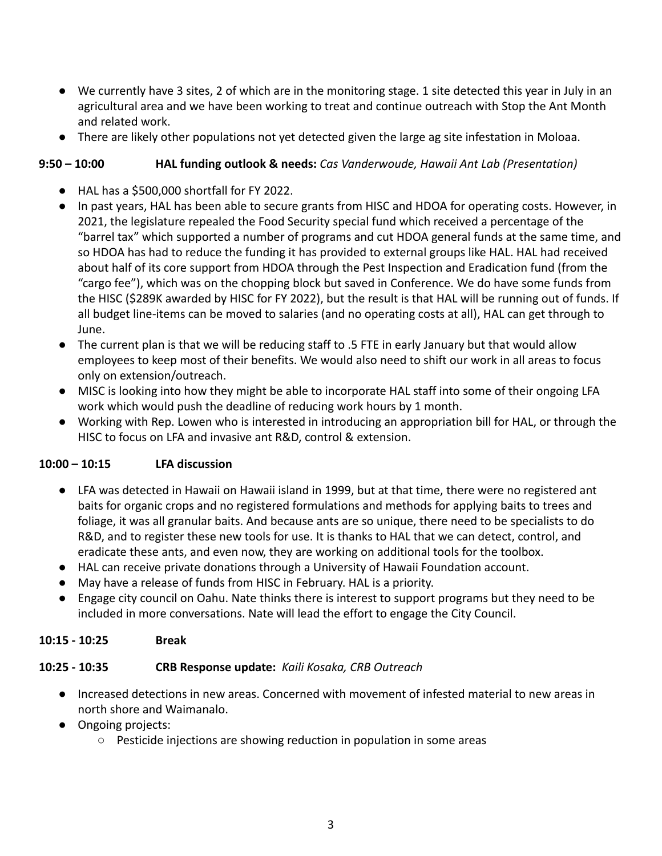- We currently have 3 sites, 2 of which are in the monitoring stage. 1 site detected this year in July in an agricultural area and we have been working to treat and continue outreach with Stop the Ant Month and related work.
- There are likely other populations not yet detected given the large ag site infestation in Moloaa.

# **9:50 – 10:00 HAL funding outlook & needs:** *Cas Vanderwoude, Hawaii Ant Lab (Presentation)*

- HAL has a \$500,000 shortfall for FY 2022.
- In past years, HAL has been able to secure grants from HISC and HDOA for operating costs. However, in 2021, the legislature repealed the Food Security special fund which received a percentage of the "barrel tax" which supported a number of programs and cut HDOA general funds at the same time, and so HDOA has had to reduce the funding it has provided to external groups like HAL. HAL had received about half of its core support from HDOA through the Pest Inspection and Eradication fund (from the "cargo fee"), which was on the chopping block but saved in Conference. We do have some funds from the HISC (\$289K awarded by HISC for FY 2022), but the result is that HAL will be running out of funds. If all budget line-items can be moved to salaries (and no operating costs at all), HAL can get through to June.
- The current plan is that we will be reducing staff to .5 FTE in early January but that would allow employees to keep most of their benefits. We would also need to shift our work in all areas to focus only on extension/outreach.
- MISC is looking into how they might be able to incorporate HAL staff into some of their ongoing LFA work which would push the deadline of reducing work hours by 1 month.
- Working with Rep. Lowen who is interested in introducing an appropriation bill for HAL, or through the HISC to focus on LFA and invasive ant R&D, control & extension.

# **10:00 – 10:15 LFA discussion**

- LFA was detected in Hawaii on Hawaii island in 1999, but at that time, there were no registered ant baits for organic crops and no registered formulations and methods for applying baits to trees and foliage, it was all granular baits. And because ants are so unique, there need to be specialists to do R&D, and to register these new tools for use. It is thanks to HAL that we can detect, control, and eradicate these ants, and even now, they are working on additional tools for the toolbox.
- HAL can receive private donations through a University of Hawaii Foundation account.
- May have a release of funds from HISC in February. HAL is a priority.
- Engage city council on Oahu. Nate thinks there is interest to support programs but they need to be included in more conversations. Nate will lead the effort to engage the City Council.

### **10:15 - 10:25 Break**

### **10:25 - 10:35 CRB Response update:** *Kaili Kosaka, CRB Outreach*

- Increased detections in new areas. Concerned with movement of infested material to new areas in north shore and Waimanalo.
- Ongoing projects:
	- Pesticide injections are showing reduction in population in some areas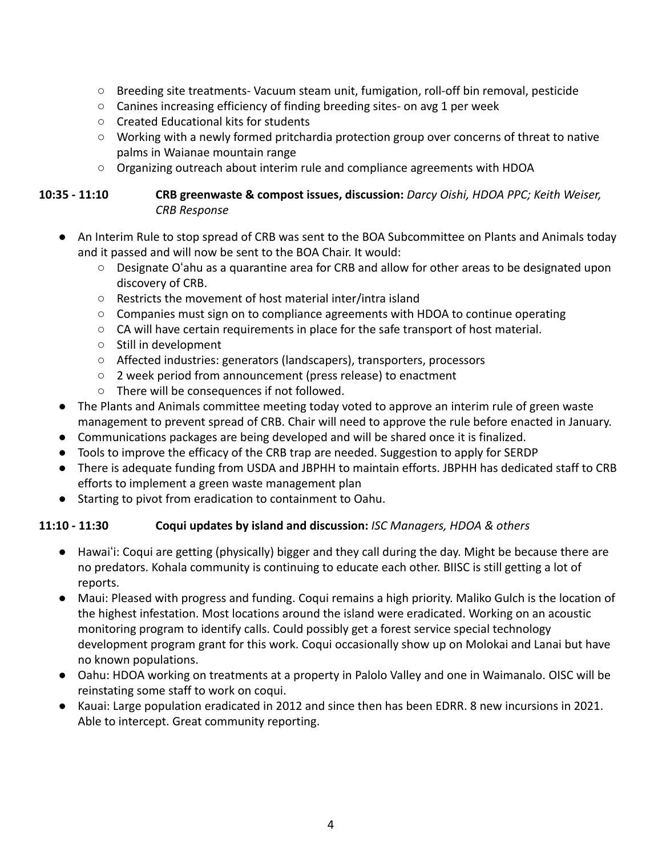- Breeding site treatments- Vacuum steam unit, fumigation, roll-off bin removal, pesticide
- Canines increasing efficiency of finding breeding sites- on avg 1 per week
- Created Educational kits for students
- Working with a newly formed pritchardia protection group over concerns of threat to native palms in Waianae mountain range
- $\circ$  Organizing outreach about interim rule and compliance agreements with HDOA

#### **10:35 - 11:10 CRB greenwaste & compost issues, discussion:** *Darcy Oishi, HDOA PPC; Keith Weiser, CRB Response*

- An Interim Rule to stop spread of CRB was sent to the BOA Subcommittee on Plants and Animals today and it passed and will now be sent to the BOA Chair. It would:
	- Designate Oʻahu as a quarantine area for CRB and allow for other areas to be designated upon discovery of CRB.
	- Restricts the movement of host material inter/intra island
	- Companies must sign on to compliance agreements with HDOA to continue operating
	- $\circ$  CA will have certain requirements in place for the safe transport of host material.
	- Still in development
	- Affected industries: generators (landscapers), transporters, processors
	- 2 week period from announcement (press release) to enactment
	- There will be consequences if not followed.
- The Plants and Animals committee meeting today voted to approve an interim rule of green waste management to prevent spread of CRB. Chair will need to approve the rule before enacted in January.
- Communications packages are being developed and will be shared once it is finalized.
- Tools to improve the efficacy of the CRB trap are needed. Suggestion to apply for SERDP
- There is adequate funding from USDA and JBPHH to maintain efforts. JBPHH has dedicated staff to CRB efforts to implement a green waste management plan
- Starting to pivot from eradication to containment to Oahu.

# **11:10 - 11:30 Coqui updates by island and discussion:** *ISC Managers, HDOA & others*

- Hawaiʻi: Coqui are getting (physically) bigger and they call during the day. Might be because there are no predators. Kohala community is continuing to educate each other. BIISC is still getting a lot of reports.
- Maui: Pleased with progress and funding. Coqui remains a high priority. Maliko Gulch is the location of the highest infestation. Most locations around the island were eradicated. Working on an acoustic monitoring program to identify calls. Could possibly get a forest service special technology development program grant for this work. Coqui occasionally show up on Molokai and Lanai but have no known populations.
- Oahu: HDOA working on treatments at a property in Palolo Valley and one in Waimanalo. OISC will be reinstating some staff to work on coqui.
- Kauai: Large population eradicated in 2012 and since then has been EDRR. 8 new incursions in 2021. Able to intercept. Great community reporting.